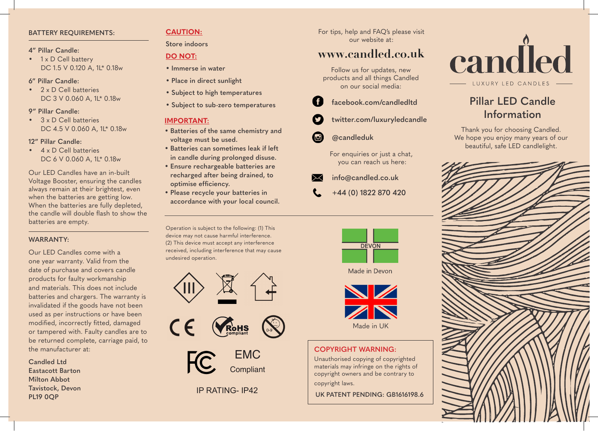### **BATTERY REQUIREMENTS:**

### **4" Pillar Candle:**

• 1 x D Cell battery DC 1.5 V 0.120 A, 1L\* 0.18w

## **6" Pillar Candle:**

• 2 x D Cell batteries DC 3 V 0.060 A, 1L<sup>\*</sup> 0.18w

## **9" Pillar Candle:**

• 3 x D Cell batteries DC 4.5 V 0.060 A, 1L\* 0.18w

## **12" Pillar Candle:**

• 4 x D Cell batteries DC 6 V 0.060 A, 1L\* 0.18w

Our LED Candles have an in-built Voltage Booster, ensuring the candles always remain at their brightest, even when the batteries are getting low. When the batteries are fully depleted, the candle will double flash to show the batteries are empty.

## **WARRANTY:**

Our LED Candles come with a one year warranty. Valid from the date of purchase and covers candle products for faulty workmanship and materials. This does not include batteries and chargers. The warranty is invalidated if the goods have not been used as per instructions or have been modified, incorrectly fitted, damaged or tampered with. Faulty candles are to be returned complete, carriage paid, to the manufacturer at:

**Candled Ltd Eastacott Barton Milton Abbot Tavistock, Devon PL19 0QP**

## **CAUTION:**

## **Store indoors**

## **DO NOT:**

- **• Immerse in water**
- **• Place in direct sunlight**
- **• Subject to high temperatures**
- **• Subject to sub-zero temperatures**

# **IMPORTANT:**

- **• Batteries of the same chemistry and voltage must be used.**
- **• Batteries can sometimes leak if left in candle during prolonged disuse.**
- **• Ensure rechargeable batteries are recharged after being drained, to optimise efficiency.**
- **• Please recycle your batteries in accordance with your local council.**

Operation is subject to the following: (1) This device may not cause harmful interference. (2) This device must accept any interference received, including interference that may cause undesired operation.







# IP RATING- IP42

For tips, help and FAQ's please visit our website at:

# **www.candled.co.uk**

Follow us for updates, new products and all things Candled on our social media:

- **facebook.com/candledltd**
- **twitter.com/luxuryledcandle**
- **@candleduk**

For enquiries or just a chat, you can reach us here:

- **info@candled.co.uk**
- **+44 (0) 1822 870 420**







## **COPYRIGHT WARNING:**

Unauthorised copying of copyrighted materials may infringe on the rights of copyright owners and be contrary to copyright laws.

**UK PATENT PENDING: GB1616198.6**



# **Pillar LED Candle Information**

Thank you for choosing Candled. We hope you enjoy many years of our beautiful, safe LED candlelight.